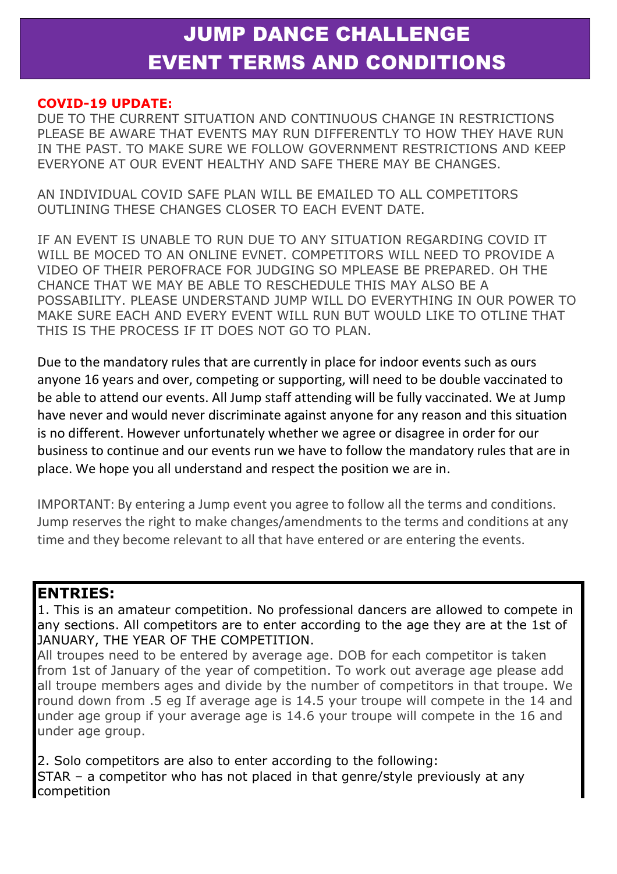# JUMP DANCE CHALLENGE EVENT TERMS AND CONDITIONS

#### **COVID-19 UPDATE:**

DUE TO THE CURRENT SITUATION AND CONTINUOUS CHANGE IN RESTRICTIONS PLEASE BE AWARE THAT EVENTS MAY RUN DIFFERENTLY TO HOW THEY HAVE RUN IN THE PAST. TO MAKE SURE WE FOLLOW GOVERNMENT RESTRICTIONS AND KEEP EVERYONE AT OUR EVENT HEALTHY AND SAFE THERE MAY BE CHANGES.

AN INDIVIDUAL COVID SAFE PLAN WILL BE EMAILED TO ALL COMPETITORS OUTLINING THESE CHANGES CLOSER TO EACH EVENT DATE.

IF AN EVENT IS UNABLE TO RUN DUE TO ANY SITUATION REGARDING COVID IT WILL BE MOCED TO AN ONLINE EVNET. COMPETITORS WILL NEED TO PROVIDE A VIDEO OF THEIR PEROFRACE FOR JUDGING SO MPLEASE BE PREPARED. OH THE CHANCE THAT WE MAY BE ABLE TO RESCHEDULE THIS MAY ALSO BE A POSSABILITY. PLEASE UNDERSTAND JUMP WILL DO EVERYTHING IN OUR POWER TO MAKE SURE EACH AND EVERY EVENT WILL RUN BUT WOULD LIKE TO OTLINE THAT THIS IS THE PROCESS IF IT DOES NOT GO TO PLAN.

Due to the mandatory rules that are currently in place for indoor events such as ours anyone 16 years and over, competing or supporting, will need to be double vaccinated to be able to attend our events. All Jump staff attending will be fully vaccinated. We at Jump have never and would never discriminate against anyone for any reason and this situation is no different. However unfortunately whether we agree or disagree in order for our business to continue and our events run we have to follow the mandatory rules that are in place. We hope you all understand and respect the position we are in.

IMPORTANT: By entering a Jump event you agree to follow all the terms and conditions. Jump reserves the right to make changes/amendments to the terms and conditions at any time and they become relevant to all that have entered or are entering the events.

#### **ENTRIES:**

1. This is an amateur competition. No professional dancers are allowed to compete in any sections. All competitors are to enter according to the age they are at the 1st of JANUARY, THE YEAR OF THE COMPETITION.

All troupes need to be entered by average age. DOB for each competitor is taken from 1st of January of the year of competition. To work out average age please add all troupe members ages and divide by the number of competitors in that troupe. We round down from .5 eg If average age is 14.5 your troupe will compete in the 14 and under age group if your average age is 14.6 your troupe will compete in the 16 and under age group.

2. Solo competitors are also to enter according to the following: STAR – a competitor who has not placed in that genre/style previously at any competition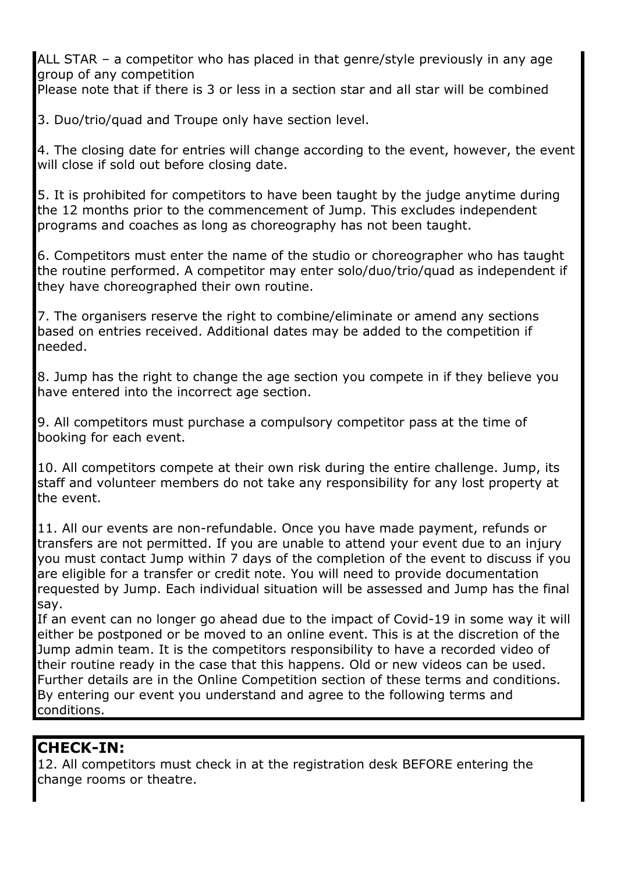ALL STAR – a competitor who has placed in that genre/style previously in any age group of any competition

Please note that if there is 3 or less in a section star and all star will be combined

3. Duo/trio/quad and Troupe only have section level.

4. The closing date for entries will change according to the event, however, the event will close if sold out before closing date.

5. It is prohibited for competitors to have been taught by the judge anytime during the 12 months prior to the commencement of Jump. This excludes independent programs and coaches as long as choreography has not been taught.

6. Competitors must enter the name of the studio or choreographer who has taught the routine performed. A competitor may enter solo/duo/trio/quad as independent if they have choreographed their own routine.

7. The organisers reserve the right to combine/eliminate or amend any sections based on entries received. Additional dates may be added to the competition if needed.

8. Jump has the right to change the age section you compete in if they believe you have entered into the incorrect age section.

9. All competitors must purchase a compulsory competitor pass at the time of booking for each event.

10. All competitors compete at their own risk during the entire challenge. Jump, its staff and volunteer members do not take any responsibility for any lost property at the event.

11. All our events are non-refundable. Once you have made payment, refunds or transfers are not permitted. If you are unable to attend your event due to an injury you must contact Jump within 7 days of the completion of the event to discuss if you are eligible for a transfer or credit note. You will need to provide documentation requested by Jump. Each individual situation will be assessed and Jump has the final say.

If an event can no longer go ahead due to the impact of Covid-19 in some way it will either be postponed or be moved to an online event. This is at the discretion of the Jump admin team. It is the competitors responsibility to have a recorded video of their routine ready in the case that this happens. Old or new videos can be used. Further details are in the Online Competition section of these terms and conditions. By entering our event you understand and agree to the following terms and conditions.

### **CHECK-IN:**

12. All competitors must check in at the registration desk BEFORE entering the change rooms or theatre.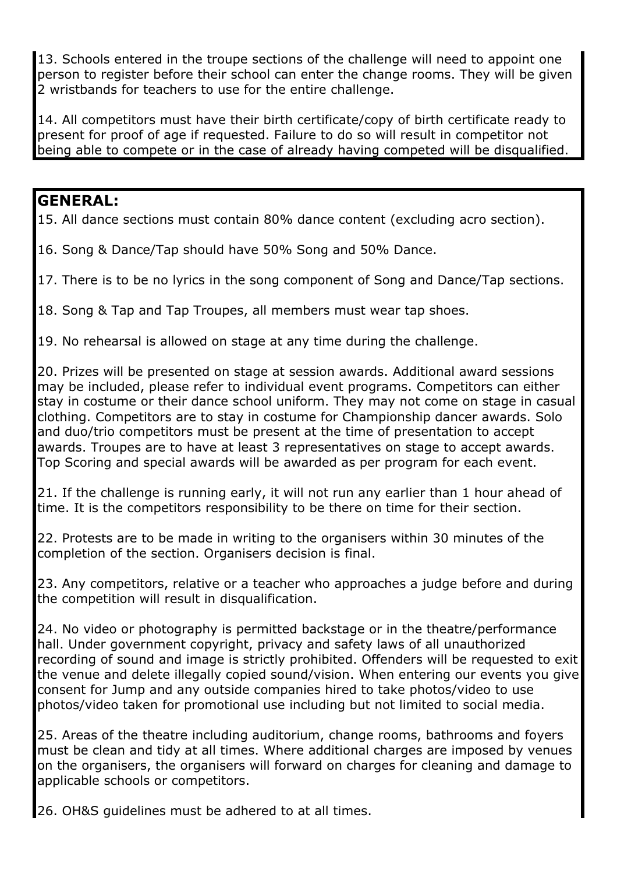13. Schools entered in the troupe sections of the challenge will need to appoint one person to register before their school can enter the change rooms. They will be given 2 wristbands for teachers to use for the entire challenge.

14. All competitors must have their birth certificate/copy of birth certificate ready to present for proof of age if requested. Failure to do so will result in competitor not being able to compete or in the case of already having competed will be disqualified.

#### **GENERAL:**

15. All dance sections must contain 80% dance content (excluding acro section).

16. Song & Dance/Tap should have 50% Song and 50% Dance.

17. There is to be no lyrics in the song component of Song and Dance/Tap sections.

18. Song & Tap and Tap Troupes, all members must wear tap shoes.

19. No rehearsal is allowed on stage at any time during the challenge.

20. Prizes will be presented on stage at session awards. Additional award sessions may be included, please refer to individual event programs. Competitors can either stay in costume or their dance school uniform. They may not come on stage in casual clothing. Competitors are to stay in costume for Championship dancer awards. Solo and duo/trio competitors must be present at the time of presentation to accept awards. Troupes are to have at least 3 representatives on stage to accept awards. Top Scoring and special awards will be awarded as per program for each event.

21. If the challenge is running early, it will not run any earlier than 1 hour ahead of time. It is the competitors responsibility to be there on time for their section.

22. Protests are to be made in writing to the organisers within 30 minutes of the completion of the section. Organisers decision is final.

23. Any competitors, relative or a teacher who approaches a judge before and during the competition will result in disqualification.

24. No video or photography is permitted backstage or in the theatre/performance hall. Under government copyright, privacy and safety laws of all unauthorized recording of sound and image is strictly prohibited. Offenders will be requested to exit the venue and delete illegally copied sound/vision. When entering our events you give consent for Jump and any outside companies hired to take photos/video to use photos/video taken for promotional use including but not limited to social media.

25. Areas of the theatre including auditorium, change rooms, bathrooms and foyers must be clean and tidy at all times. Where additional charges are imposed by venues on the organisers, the organisers will forward on charges for cleaning and damage to applicable schools or competitors.

26. OH&S guidelines must be adhered to at all times.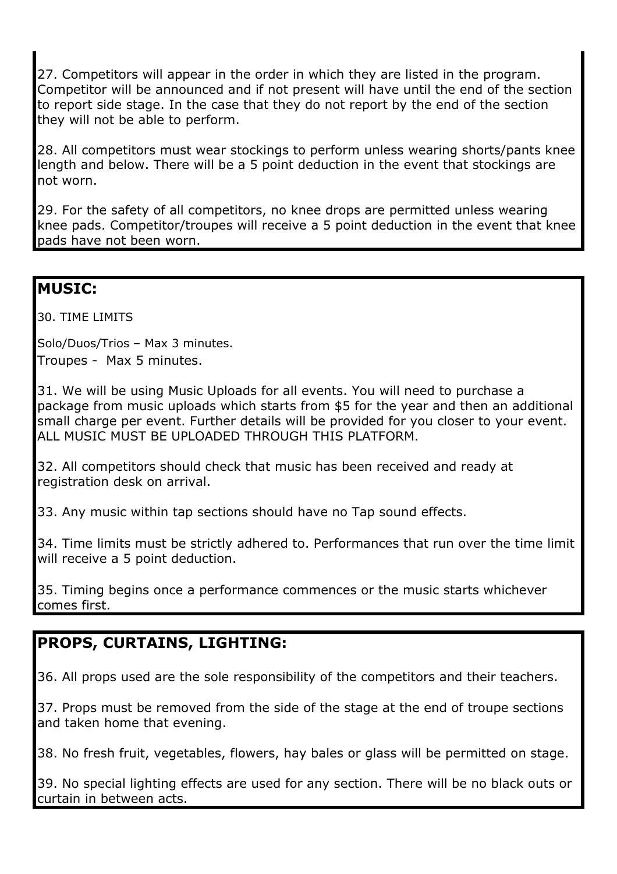27. Competitors will appear in the order in which they are listed in the program. Competitor will be announced and if not present will have until the end of the section to report side stage. In the case that they do not report by the end of the section they will not be able to perform.

28. All competitors must wear stockings to perform unless wearing shorts/pants knee length and below. There will be a 5 point deduction in the event that stockings are not worn.

29. For the safety of all competitors, no knee drops are permitted unless wearing knee pads. Competitor/troupes will receive a 5 point deduction in the event that knee pads have not been worn.

### **MUSIC:**

30. TIME LIMITS

Solo/Duos/Trios – Max 3 minutes. Troupes - Max 5 minutes.

31. We will be using Music Uploads for all events. You will need to purchase a package from music uploads which starts from \$5 for the year and then an additional small charge per event. Further details will be provided for you closer to your event. ALL MUSIC MUST BE UPLOADED THROUGH THIS PLATFORM.

32. All competitors should check that music has been received and ready at registration desk on arrival.

33. Any music within tap sections should have no Tap sound effects.

34. Time limits must be strictly adhered to. Performances that run over the time limit will receive a 5 point deduction.

35. Timing begins once a performance commences or the music starts whichever comes first.

# **PROPS, CURTAINS, LIGHTING:**

36. All props used are the sole responsibility of the competitors and their teachers.

37. Props must be removed from the side of the stage at the end of troupe sections and taken home that evening.

38. No fresh fruit, vegetables, flowers, hay bales or glass will be permitted on stage.

39. No special lighting effects are used for any section. There will be no black outs or curtain in between acts.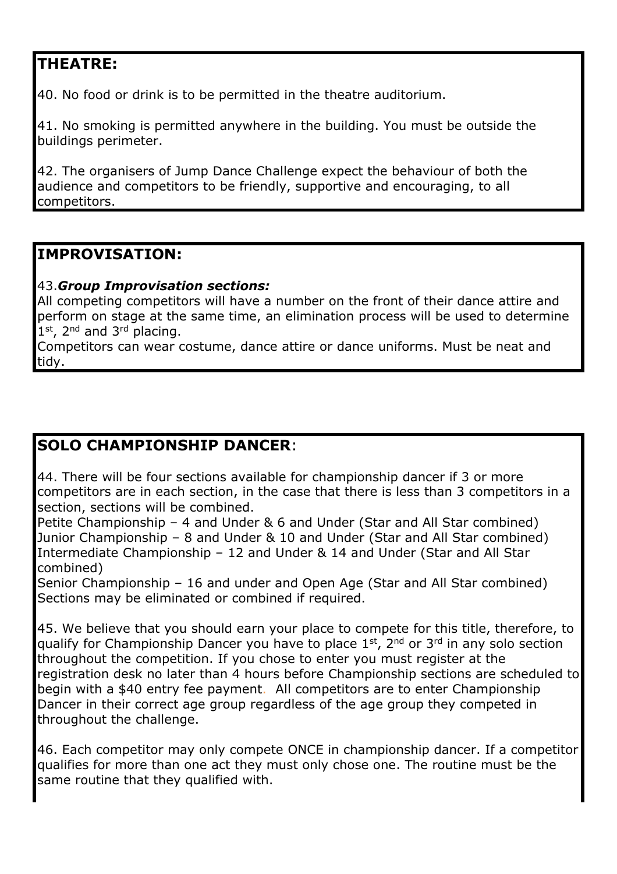# **THEATRE:**

40. No food or drink is to be permitted in the theatre auditorium.

41. No smoking is permitted anywhere in the building. You must be outside the buildings perimeter.

42. The organisers of Jump Dance Challenge expect the behaviour of both the audience and competitors to be friendly, supportive and encouraging, to all competitors.

### **IMPROVISATION:**

#### 43.*Group Improvisation sections:*

All competing competitors will have a number on the front of their dance attire and perform on stage at the same time, an elimination process will be used to determine  $1<sup>st</sup>$ ,  $2<sup>nd</sup>$  and  $3<sup>rd</sup>$  placing.

Competitors can wear costume, dance attire or dance uniforms. Must be neat and tidy.

## **SOLO CHAMPIONSHIP DANCER**:

44. There will be four sections available for championship dancer if 3 or more competitors are in each section, in the case that there is less than 3 competitors in a section, sections will be combined.

Petite Championship – 4 and Under & 6 and Under (Star and All Star combined) Junior Championship – 8 and Under & 10 and Under (Star and All Star combined) Intermediate Championship – 12 and Under & 14 and Under (Star and All Star combined)

Senior Championship – 16 and under and Open Age (Star and All Star combined) Sections may be eliminated or combined if required.

45. We believe that you should earn your place to compete for this title, therefore, to qualify for Championship Dancer you have to place 1<sup>st</sup>, 2<sup>nd</sup> or 3<sup>rd</sup> in any solo section throughout the competition. If you chose to enter you must register at the registration desk no later than 4 hours before Championship sections are scheduled to begin with a \$40 entry fee payment. All competitors are to enter Championship Dancer in their correct age group regardless of the age group they competed in throughout the challenge.

46. Each competitor may only compete ONCE in championship dancer. If a competitor qualifies for more than one act they must only chose one. The routine must be the same routine that they qualified with.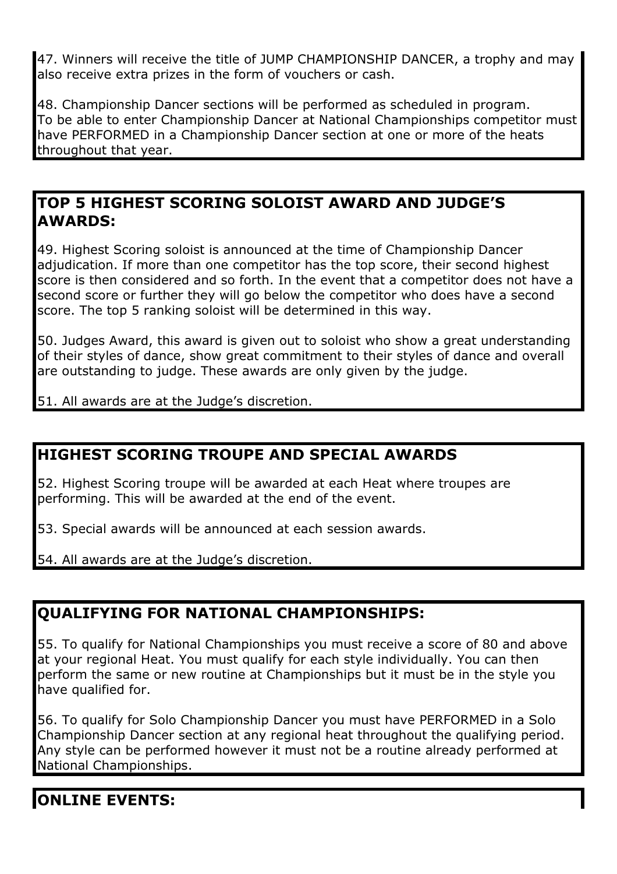47. Winners will receive the title of JUMP CHAMPIONSHIP DANCER, a trophy and may also receive extra prizes in the form of vouchers or cash.

48. Championship Dancer sections will be performed as scheduled in program. To be able to enter Championship Dancer at National Championships competitor must have PERFORMED in a Championship Dancer section at one or more of the heats throughout that year.

## **TOP 5 HIGHEST SCORING SOLOIST AWARD AND JUDGE'S AWARDS:**

49. Highest Scoring soloist is announced at the time of Championship Dancer adjudication. If more than one competitor has the top score, their second highest score is then considered and so forth. In the event that a competitor does not have a second score or further they will go below the competitor who does have a second score. The top 5 ranking soloist will be determined in this way.

50. Judges Award, this award is given out to soloist who show a great understanding of their styles of dance, show great commitment to their styles of dance and overall are outstanding to judge. These awards are only given by the judge.

51. All awards are at the Judge's discretion.

# **HIGHEST SCORING TROUPE AND SPECIAL AWARDS**

52. Highest Scoring troupe will be awarded at each Heat where troupes are performing. This will be awarded at the end of the event.

53. Special awards will be announced at each session awards.

54. All awards are at the Judge's discretion.

# **QUALIFYING FOR NATIONAL CHAMPIONSHIPS:**

55. To qualify for National Championships you must receive a score of 80 and above at your regional Heat. You must qualify for each style individually. You can then perform the same or new routine at Championships but it must be in the style you have qualified for.

56. To qualify for Solo Championship Dancer you must have PERFORMED in a Solo Championship Dancer section at any regional heat throughout the qualifying period. Any style can be performed however it must not be a routine already performed at National Championships.

# **ONLINE EVENTS:**